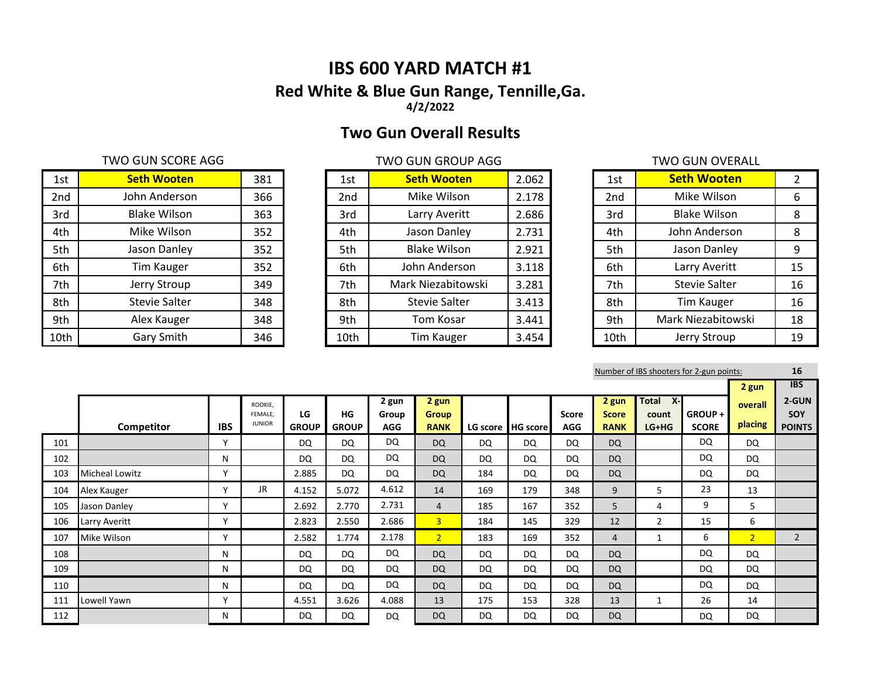# **IBS 600 YARD MATCH #1 Red White & Blue Gun Range, Tennille,Ga. 4/2/2022**

# **Two Gun Overall Results**

## TWO GUN SCORE AGG TWO GUN GROUP AGG TWO GUN OVERALL

| 1st  | <b>Seth Wooten</b>   | 381 | 1st  | <b>Seth Wooten</b>   | 2.062 | 1st             | <b>Seth Wooten</b>   |    |
|------|----------------------|-----|------|----------------------|-------|-----------------|----------------------|----|
| 2nd  | John Anderson        | 366 | 2nd  | Mike Wilson          | 2.178 | 2 <sub>nd</sub> | Mike Wilson          | 6  |
| 3rd  | <b>Blake Wilson</b>  | 363 | 3rd  | Larry Averitt        | 2.686 | 3rd             | <b>Blake Wilson</b>  | 8  |
| 4th  | Mike Wilson          | 352 | 4th  | Jason Danley         | 2.731 | 4th             | John Anderson        | 8  |
| 5th  | Jason Danley         | 352 | 5th  | <b>Blake Wilson</b>  | 2.921 | 5th             | Jason Danley         | 9  |
| 6th  | Tim Kauger           | 352 | 6th  | John Anderson        | 3.118 | 6th             | Larry Averitt        | 15 |
| 7th  | Jerry Stroup         | 349 | 7th  | Mark Niezabitowski   | 3.281 | 7th             | <b>Stevie Salter</b> | 16 |
| 8th  | <b>Stevie Salter</b> | 348 | 8th  | <b>Stevie Salter</b> | 3.413 | 8th             | <b>Tim Kauger</b>    | 16 |
| 9th  | Alex Kauger          | 348 | 9th  | Tom Kosar            | 3.441 | 9th             | Mark Niezabitowski   | 18 |
| 10th | Gary Smith           | 346 | 10th | <b>Tim Kauger</b>    | 3.454 | 10th            | Jerry Stroup         | 19 |

| 1st  | <b>Seth Wooten</b>   | 2.062 |
|------|----------------------|-------|
| 2nd  | Mike Wilson          | 2.178 |
| 3rd  | Larry Averitt        | 2.686 |
| 4th  | Jason Danley         | 2.731 |
| 5th  | <b>Blake Wilson</b>  | 2.921 |
| 6th  | John Anderson        | 3.118 |
| 7th  | Mark Niezabitowski   | 3.281 |
| 8th  | <b>Stevie Salter</b> | 3.413 |
| 9th  | <b>Tom Kosar</b>     | 3.441 |
| 10th | Tim Kauger           | 3.454 |

|                 | I WU GUN UVERALL     |    |
|-----------------|----------------------|----|
| 1st             | <b>Seth Wooten</b>   | 2  |
| 2 <sub>nd</sub> | Mike Wilson          | 6  |
| 3rd             | <b>Blake Wilson</b>  | 8  |
| 4th             | John Anderson        | 8  |
| 5th             | Jason Danley         | 9  |
| 6th             | Larry Averitt        | 15 |
| 7th             | <b>Stevie Salter</b> | 16 |
| 8th             | <b>Tim Kauger</b>    | 16 |
| 9th             | Mark Niezabitowski   | 18 |
| 10th            | Jerry Stroup         | 19 |

Number of IBS shooters for 2-gun points: **16**

|     |                       |              |                          |                    |                    |                     |                             |           |                   |                     |                             |                       |                         | 2 gun          | <b>IBS</b>           |
|-----|-----------------------|--------------|--------------------------|--------------------|--------------------|---------------------|-----------------------------|-----------|-------------------|---------------------|-----------------------------|-----------------------|-------------------------|----------------|----------------------|
|     |                       |              | ROOKIE.                  |                    |                    | 2 gun               | 2 gun                       |           |                   |                     | 2 gun                       | $X -$<br><b>Total</b> |                         | overall        | 2-GUN                |
|     | Competitor            | <b>IBS</b>   | FEMALE.<br><b>JUNIOR</b> | LG<br><b>GROUP</b> | HG<br><b>GROUP</b> | Group<br><b>AGG</b> | <b>Group</b><br><b>RANK</b> |           | LG score HG score | <b>Score</b><br>AGG | <b>Score</b><br><b>RANK</b> | count<br>LG+HG        | GROUP +<br><b>SCORE</b> | placing        | SOY<br><b>POINTS</b> |
| 101 |                       | $\mathsf{v}$ |                          | DQ                 | DQ                 | DQ                  | <b>DQ</b>                   | <b>DQ</b> | DQ                | <b>DQ</b>           | <b>DQ</b>                   |                       | DQ                      | DQ             |                      |
| 102 |                       | N            |                          | DQ                 | DQ                 | <b>DQ</b>           | <b>DQ</b>                   | <b>DQ</b> | DQ                | DQ                  | <b>DQ</b>                   |                       | DQ                      | <b>DQ</b>      |                      |
| 103 | <b>Micheal Lowitz</b> | $\mathsf{v}$ |                          | 2.885              | DQ                 | <b>DQ</b>           | <b>DQ</b>                   | 184       | DQ                | DQ                  | <b>DQ</b>                   |                       | DQ                      | DQ             |                      |
| 104 | Alex Kauger           | $\checkmark$ | JR.                      | 4.152              | 5.072              | 4.612               | 14                          | 169       | 179               | 348                 | 9                           | 5.                    | 23                      | 13             |                      |
| 105 | Jason Danley          | $\checkmark$ |                          | 2.692              | 2.770              | 2.731               | $\overline{4}$              | 185       | 167               | 352                 | 5                           | 4                     | 9                       | 5              |                      |
| 106 | Larry Averitt         | $\mathsf{v}$ |                          | 2.823              | 2.550              | 2.686               | $\overline{3}$              | 184       | 145               | 329                 | 12                          | 2                     | 15                      | 6              |                      |
| 107 | Mike Wilson           | v            |                          | 2.582              | 1.774              | 2.178               | 2 <sup>1</sup>              | 183       | 169               | 352                 | $\overline{4}$              |                       | 6                       | $\overline{2}$ | $\overline{2}$       |
| 108 |                       | N            |                          | <b>DQ</b>          | DQ                 | <b>DQ</b>           | <b>DQ</b>                   | <b>DQ</b> | DQ                | <b>DQ</b>           | <b>DQ</b>                   |                       | DQ                      | DQ             |                      |
| 109 |                       | N            |                          | DQ                 | DQ                 | <b>DQ</b>           | <b>DQ</b>                   | <b>DQ</b> | DQ                | DQ                  | <b>DQ</b>                   |                       | DQ                      | DQ             |                      |
| 110 |                       | N            |                          | DQ                 | DQ                 | <b>DQ</b>           | <b>DQ</b>                   | <b>DQ</b> | DQ                | <b>DQ</b>           | <b>DQ</b>                   |                       | DQ                      | <b>DQ</b>      |                      |
| 111 | Lowell Yawn           | v            |                          | 4.551              | 3.626              | 4.088               | 13                          | 175       | 153               | 328                 | 13                          |                       | 26                      | 14             |                      |
| 112 |                       | N            |                          | DQ                 | DQ                 | <b>DQ</b>           | <b>DQ</b>                   | <b>DQ</b> | DQ                | DQ                  | <b>DQ</b>                   |                       | DQ                      | <b>DQ</b>      |                      |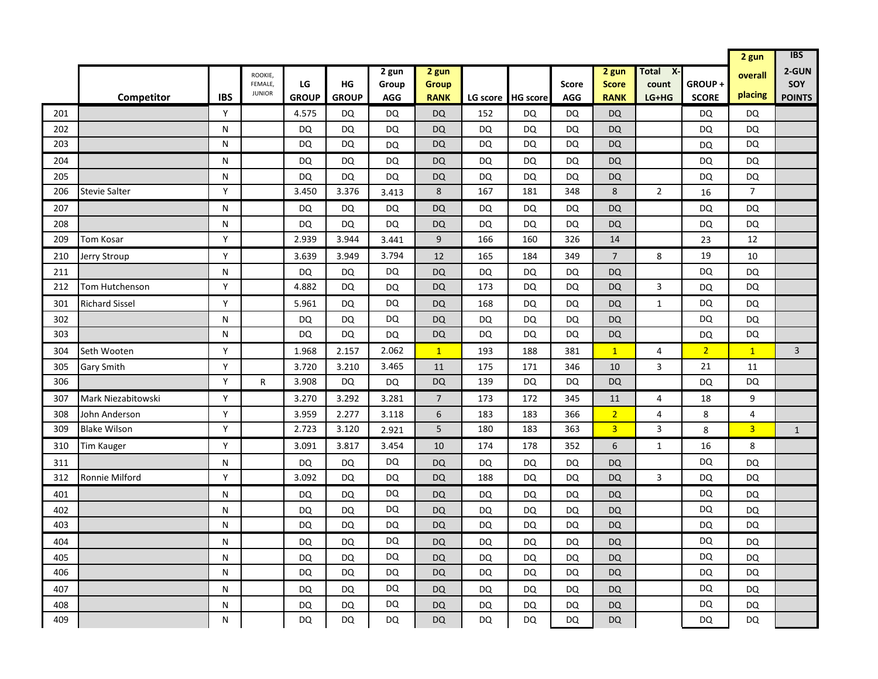|     |                       |            |                                     |                    |                    |                              |                                      |                   |           |                            |                                                 |                                             |                        | 2 gun              | <b>IBS</b>                    |
|-----|-----------------------|------------|-------------------------------------|--------------------|--------------------|------------------------------|--------------------------------------|-------------------|-----------|----------------------------|-------------------------------------------------|---------------------------------------------|------------------------|--------------------|-------------------------------|
|     | Competitor            | <b>IBS</b> | ROOKIE,<br>FEMALE,<br><b>JUNIOR</b> | LG<br><b>GROUP</b> | HG<br><b>GROUP</b> | 2 gun<br>Group<br><b>AGG</b> | 2 gun<br><b>Group</b><br><b>RANK</b> | LG score HG score |           | <b>Score</b><br><b>AGG</b> | 2 <sub>gun</sub><br><b>Score</b><br><b>RANK</b> | $\overline{X}$<br>Total<br>count<br>$LG+HG$ | GROUP+<br><b>SCORE</b> | overall<br>placing | 2-GUN<br>SOY<br><b>POINTS</b> |
| 201 |                       | Y          |                                     | 4.575              | DQ                 | DQ                           | <b>DQ</b>                            | 152               | DQ        | <b>DQ</b>                  | <b>DQ</b>                                       |                                             | DQ                     | DQ                 |                               |
| 202 |                       | N          |                                     | DQ                 | DQ                 | <b>DQ</b>                    | <b>DQ</b>                            | <b>DQ</b>         | DQ        | <b>DQ</b>                  | <b>DQ</b>                                       |                                             | <b>DQ</b>              | DQ                 |                               |
| 203 |                       | N          |                                     | DQ                 | DQ                 | DQ                           | <b>DQ</b>                            | <b>DQ</b>         | DQ        | DQ                         | <b>DQ</b>                                       |                                             | DQ                     | <b>DQ</b>          |                               |
| 204 |                       | N          |                                     | <b>DQ</b>          | <b>DQ</b>          | DQ                           | <b>DQ</b>                            | DQ                | DQ        | DQ                         | <b>DQ</b>                                       |                                             | DQ                     | DQ                 |                               |
| 205 |                       | N          |                                     | <b>DQ</b>          | <b>DQ</b>          | DQ                           | DQ                                   | DQ                | <b>DQ</b> | DQ                         | <b>DQ</b>                                       |                                             | <b>DQ</b>              | DQ                 |                               |
| 206 | <b>Stevie Salter</b>  | Y          |                                     | 3.450              | 3.376              | 3.413                        | $\,8\,$                              | 167               | 181       | 348                        | 8                                               | $\overline{2}$                              | 16                     | $\overline{7}$     |                               |
| 207 |                       | N          |                                     | DQ                 | <b>DQ</b>          | DQ                           | <b>DQ</b>                            | <b>DQ</b>         | DQ        | <b>DQ</b>                  | <b>DQ</b>                                       |                                             | DQ                     | <b>DQ</b>          |                               |
| 208 |                       | N          |                                     | <b>DQ</b>          | DQ                 | DQ                           | <b>DQ</b>                            | <b>DQ</b>         | DQ        | DQ                         | <b>DQ</b>                                       |                                             | <b>DQ</b>              | <b>DQ</b>          |                               |
| 209 | Tom Kosar             | Y          |                                     | 2.939              | 3.944              | 3.441                        | $\boldsymbol{9}$                     | 166               | 160       | 326                        | 14                                              |                                             | 23                     | 12                 |                               |
| 210 | Jerry Stroup          | Y          |                                     | 3.639              | 3.949              | 3.794                        | 12                                   | 165               | 184       | 349                        | $\overline{7}$                                  | 8                                           | 19                     | 10                 |                               |
| 211 |                       | N          |                                     | <b>DQ</b>          | <b>DQ</b>          | DQ                           | <b>DQ</b>                            | <b>DQ</b>         | <b>DQ</b> | DQ                         | <b>DQ</b>                                       |                                             | <b>DQ</b>              | <b>DQ</b>          |                               |
| 212 | Tom Hutchenson        | Y          |                                     | 4.882              | <b>DQ</b>          | <b>DQ</b>                    | <b>DQ</b>                            | 173               | <b>DQ</b> | DQ                         | <b>DQ</b>                                       | $\overline{3}$                              | <b>DQ</b>              | <b>DQ</b>          |                               |
| 301 | <b>Richard Sissel</b> | Y          |                                     | 5.961              | DQ                 | DQ                           | <b>DQ</b>                            | 168               | DQ        | DQ                         | <b>DQ</b>                                       | $\mathbf{1}$                                | DQ                     | <b>DQ</b>          |                               |
| 302 |                       | N          |                                     | DQ                 | DQ                 | DQ                           | <b>DQ</b>                            | <b>DQ</b>         | DQ        | DQ                         | <b>DQ</b>                                       |                                             | <b>DQ</b>              | <b>DQ</b>          |                               |
| 303 |                       | N          |                                     | <b>DQ</b>          | <b>DQ</b>          | DQ                           | <b>DQ</b>                            | <b>DQ</b>         | <b>DQ</b> | DQ                         | <b>DQ</b>                                       |                                             | <b>DQ</b>              | <b>DQ</b>          |                               |
| 304 | Seth Wooten           | Y          |                                     | 1.968              | 2.157              | 2.062                        | $\overline{1}$                       | 193               | 188       | 381                        | $\mathbf{1}$                                    | 4                                           | 2 <sup>1</sup>         | $\overline{1}$     | 3                             |
| 305 | Gary Smith            | Y          |                                     | 3.720              | 3.210              | 3.465                        | 11                                   | 175               | 171       | 346                        | 10                                              | 3                                           | 21                     | 11                 |                               |
| 306 |                       | Υ          | $\mathsf{R}$                        | 3.908              | <b>DQ</b>          | <b>DQ</b>                    | <b>DQ</b>                            | 139               | DQ        | DQ                         | <b>DQ</b>                                       |                                             | <b>DQ</b>              | DQ                 |                               |
| 307 | Mark Niezabitowski    | Y          |                                     | 3.270              | 3.292              | 3.281                        | $\overline{7}$                       | 173               | 172       | 345                        | 11                                              | 4                                           | 18                     | 9                  |                               |
| 308 | John Anderson         | Y          |                                     | 3.959              | 2.277              | 3.118                        | $\boldsymbol{6}$                     | 183               | 183       | 366                        | 2 <sup>2</sup>                                  | $\overline{4}$                              | 8                      | 4                  |                               |
| 309 | <b>Blake Wilson</b>   | Υ          |                                     | 2.723              | 3.120              | 2.921                        | 5                                    | 180               | 183       | 363                        | 3 <sup>1</sup>                                  | 3                                           | 8                      | $\overline{3}$     | $\mathbf{1}$                  |
| 310 | Tim Kauger            | Y          |                                     | 3.091              | 3.817              | 3.454                        | 10                                   | 174               | 178       | 352                        | 6                                               | $\mathbf{1}$                                | 16                     | 8                  |                               |
| 311 |                       | N          |                                     | DQ                 | DQ                 | DQ                           | <b>DQ</b>                            | <b>DQ</b>         | DQ        | DQ                         | <b>DQ</b>                                       |                                             | DQ                     | <b>DQ</b>          |                               |
| 312 | Ronnie Milford        | Y          |                                     | 3.092              | <b>DQ</b>          | DQ                           | <b>DQ</b>                            | 188               | DQ        | DQ                         | <b>DQ</b>                                       | 3                                           | <b>DQ</b>              | <b>DQ</b>          |                               |
| 401 |                       | N          |                                     | DQ                 | DQ                 | <b>DQ</b>                    | <b>DQ</b>                            | <b>DQ</b>         | DQ        | DQ                         | DQ                                              |                                             | <b>DQ</b>              | <b>DQ</b>          |                               |
| 402 |                       | N          |                                     | <b>DQ</b>          | DQ                 | DQ                           | <b>DQ</b>                            | <b>DQ</b>         | DQ        | <b>DQ</b>                  | <b>DQ</b>                                       |                                             | DQ                     | <b>DQ</b>          |                               |
| 403 |                       | N          |                                     | DQ                 | DQ                 | DQ                           | <b>DQ</b>                            | DQ                | DQ        | DQ                         | <b>DQ</b>                                       |                                             | DQ                     | <b>DQ</b>          |                               |
| 404 |                       | N          |                                     | DQ                 | DQ                 | DQ                           | DQ                                   | <b>DQ</b>         | DQ        | DQ                         | <b>DQ</b>                                       |                                             | <b>DQ</b>              | <b>DQ</b>          |                               |
| 405 |                       | N          |                                     | <b>DQ</b>          | DQ                 | DQ                           | <b>DQ</b>                            | <b>DQ</b>         | DQ        | <b>DQ</b>                  | <b>DQ</b>                                       |                                             | <b>DQ</b>              | DQ                 |                               |
| 406 |                       | N          |                                     | DQ                 | DQ                 | <b>DQ</b>                    | <b>DQ</b>                            | <b>DQ</b>         | DQ        | DQ                         | <b>DQ</b>                                       |                                             | DQ                     | <b>DQ</b>          |                               |
| 407 |                       | N          |                                     | DQ                 | DQ                 | DQ                           | <b>DQ</b>                            | <b>DQ</b>         | DQ        | DQ                         | <b>DQ</b>                                       |                                             | <b>DQ</b>              | <b>DQ</b>          |                               |
| 408 |                       | N          |                                     | DQ                 | DQ                 | <b>DQ</b>                    | <b>DQ</b>                            | DQ                | DQ        | DQ                         | <b>DQ</b>                                       |                                             | <b>DQ</b>              | DQ                 |                               |
| 409 |                       | N          |                                     | <b>DQ</b>          | DQ                 | <b>DQ</b>                    | <b>DQ</b>                            | DQ                | DQ        | DQ                         | <b>DQ</b>                                       |                                             | DQ                     | <b>DQ</b>          |                               |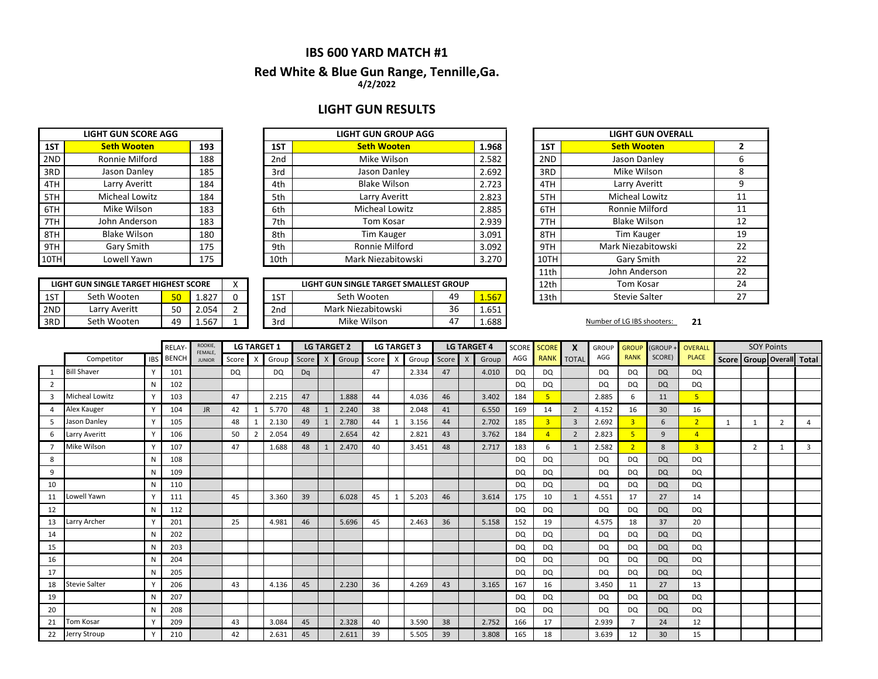#### **4/2/2022 Red White & Blue Gun Range, Tennille,Ga.**

### **LIGHT GUN RESULTS**

**LIGHT GUN GROUP AGG** 

|      | <b>LIGHT GUN SCORE AGG</b> |     |
|------|----------------------------|-----|
| 1ST  | <b>Seth Wooten</b>         | 193 |
| 2ND  | Ronnie Milford             | 188 |
| 3RD  | Jason Danley               | 185 |
| 4TH  | Larry Averitt              | 184 |
| 5TH  | Micheal Lowitz             | 184 |
| 6TH  | Mike Wilson                | 183 |
| 7TH  | John Anderson              | 183 |
| 8TH  | <b>Blake Wilson</b>        | 180 |
| 9TH  | Gary Smith                 | 175 |
| 10TH | Lowell Yawn                | 175 |

| 1ST  | <b>Seth Wooten</b>    | 193 | 1ST             | <b>Seth Wooten</b>    | 1.968 | 1ST  | <b>Seth Wooten</b>    |
|------|-----------------------|-----|-----------------|-----------------------|-------|------|-----------------------|
| 2ND  | Ronnie Milford        | 188 | 2 <sub>nd</sub> | Mike Wilson           | 2.582 | 2ND  | Jason Danley          |
| 3RD  | Jason Danley          | 185 | 3rd             | Jason Danley          | 2.692 | 3RD  | Mike Wilson           |
| 4TH  | Larry Averitt         | 184 | 4th             | <b>Blake Wilson</b>   | 2.723 | 4TH  | Larry Averitt         |
| 5TH  | <b>Micheal Lowitz</b> | 184 | 5th             | Larry Averitt         | 2.823 | 5TH  | <b>Micheal Lowitz</b> |
| 6TH  | Mike Wilson           | 183 | 6th             | <b>Micheal Lowitz</b> | 2.885 | 6TH  | Ronnie Milford        |
| 7TH  | John Anderson         | 183 | 7th             | Tom Kosar             | 2.939 | 7TH  | <b>Blake Wilson</b>   |
| 8TH  | <b>Blake Wilson</b>   | 180 | 8th             | Tim Kauger            | 3.091 | 8TH  | Tim Kauger            |
| 9TH  | Gary Smith            | 175 | 9th             | Ronnie Milford        | 3.092 | 9TH  | Mark Niezabitowski    |
| 10TH | Lowell Yawn           | 175 | 10th            | Mark Niezabitowski    | 3.270 | 10TH | Gary Smith            |

|     | LIGHT GUN SINGLE TARGET HIGHEST SCORE |          |       |     | LIGHT GUN SINGLE TARGET SMALLEST GROUP |    |       | 12th | Tom Kosar                  |    |
|-----|---------------------------------------|----------|-------|-----|----------------------------------------|----|-------|------|----------------------------|----|
| 1ST | Seth Wooten                           | $E \cap$ | 1.827 | 1ST | Seth Wooten                            | 49 | .567  | 13th | <b>Stevie Salter</b>       |    |
| 2ND | Larry Averitt                         | 50       | 2.054 | 2nd | Mark Niezabitowski                     | 36 | 1.651 |      |                            |    |
| 3RD | Seth Wooten                           | 49       | 1.567 | 3rd | Mike Wilson                            | 47 | 1.688 |      | Number of LG IBS shooters: | 21 |

|      | <b>LIGHT GUN OVERALL</b> |    |
|------|--------------------------|----|
| 1ST  | <b>Seth Wooten</b>       | 2  |
| 2ND  | Jason Danley             | 6  |
| 3RD  | Mike Wilson              | 8  |
| 4TH  | Larry Averitt            | 9  |
| 5TH  | Micheal Lowitz           | 11 |
| 6TH  | Ronnie Milford           | 11 |
| 7TH  | <b>Blake Wilson</b>      | 12 |
| 8TH  | <b>Tim Kauger</b>        | 19 |
| 9TH  | Mark Niezabitowski       | 22 |
| 10TH | Gary Smith               | 22 |
| 11th | John Anderson            | 22 |
| 12th | Tom Kosar                | 24 |
| 13th | <b>Stevie Salter</b>     | 27 |

|          |                       |            | RELAY        | ROOKIE,<br>FEMALE. | <b>LG TARGET 2</b><br><b>LG TARGET 1</b> |   |       | <b>LG TARGET 3</b> |  |                       | <b>LG TARGET 4</b> |  |       |       | SCORE SCORE | $\boldsymbol{\mathsf{x}}$ | <b>GROUP</b> | <b>GROUP</b> | (GROUP +       | <b>OVERALL</b> |                | <b>SOY Points</b> |                |                                 |                |   |                |
|----------|-----------------------|------------|--------------|--------------------|------------------------------------------|---|-------|--------------------|--|-----------------------|--------------------|--|-------|-------|-------------|---------------------------|--------------|--------------|----------------|----------------|----------------|-------------------|----------------|---------------------------------|----------------|---|----------------|
|          | Competitor            | <b>IBS</b> | <b>BENCH</b> | <b>JUNIOR</b>      | Score                                    | X | Group |                    |  | Score X Group Score X |                    |  | Group | Score | X           | Group                     | AGG          |              | RANK TOTAL     | AGG            | <b>RANK</b>    | SCORE)            | <b>PLACE</b>   | Score   Group   Overall   Total |                |   |                |
| 1        | <b>Bill Shaver</b>    |            | 101          |                    | DQ                                       |   | DQ    | Dq                 |  |                       | 47                 |  | 2.334 | 47    |             | 4.010                     | <b>DQ</b>    | <b>DQ</b>    |                | DQ             | DQ             | <b>DQ</b>         | DQ             |                                 |                |   |                |
| 2        |                       | N          | 102          |                    |                                          |   |       |                    |  |                       |                    |  |       |       |             |                           | <b>DQ</b>    | <b>DQ</b>    |                | <b>DQ</b>      | DQ             | <b>DQ</b>         | <b>DQ</b>      |                                 |                |   |                |
| 3        | <b>Micheal Lowitz</b> |            | 103          |                    | 47                                       |   | 2.215 | 47                 |  | 1.888                 | 44                 |  | 4.036 | 46    |             | 3.402                     | 184          | 5            |                | 2.885          | 6              | 11                | 5 <sup>1</sup> |                                 |                |   |                |
| $\Delta$ | Alex Kauger           | Y          | 104          | JR.                | 42                                       |   | 5.770 | 48                 |  | 2.240                 | 38                 |  | 2.048 | 41    |             | 6.550                     | 169          | 14           | $\overline{2}$ | 4.152          | 16             | 30 <sup>°</sup>   | 16             |                                 |                |   |                |
| 5        | Jason Danley          |            | 105          |                    | 48                                       |   | 2.130 | 49                 |  | 2.780                 | 44                 |  | 3.156 | 44    |             | 2.702                     | 185          | 3            | $\overline{3}$ | 2.692          | $\overline{3}$ | 6                 | 2 <sup>1</sup> |                                 | $\mathbf{1}$   | 2 |                |
| 6        | Larry Averitt         |            | 106          |                    | 50                                       |   | 2.054 | 49                 |  | 2.654                 | 42                 |  | 2.821 | 43    |             | 3.762                     | 184          |              | $\overline{2}$ | 2.823          |                | 9                 | $\overline{4}$ |                                 |                |   |                |
|          | Mike Wilson           |            | 107          |                    | 47                                       |   | 1.688 | 48                 |  | 2.470                 | 40                 |  | 3.451 | 48    |             | 2.717                     | 183          | 6            | 1              | 2.582          | $\overline{2}$ | 8                 | 3 <sup>1</sup> |                                 | $\overline{2}$ |   | $\overline{3}$ |
| 8        |                       | N          | 108          |                    |                                          |   |       |                    |  |                       |                    |  |       |       |             |                           | <b>DQ</b>    | DQ           |                | <b>DQ</b>      | <b>DQ</b>      | <b>DQ</b>         | DQ             |                                 |                |   |                |
| 9        |                       | N          | 109          |                    |                                          |   |       |                    |  |                       |                    |  |       |       |             |                           | <b>DQ</b>    | DQ           |                | DQ             | DQ             | <b>DQ</b>         | DQ             |                                 |                |   |                |
| 10       |                       | N          | 110          |                    |                                          |   |       |                    |  |                       |                    |  |       |       |             |                           | DQ           | DQ           |                | <b>DQ</b>      | DQ             | <b>DQ</b>         | DQ             |                                 |                |   |                |
| 11       | Lowell Yawn           | <b>V</b>   | 111          |                    | 45                                       |   | 3.360 | 39                 |  | 6.028                 | 45                 |  | 5.203 | 46    |             | 3.614                     | 175          | 10           | $\mathbf{1}$   | 4.551          | 17             | 27                | 14             |                                 |                |   |                |
| 12       |                       | N          | 112          |                    |                                          |   |       |                    |  |                       |                    |  |       |       |             |                           | DQ           | DQ           |                | <b>DQ</b>      | DQ             | <b>DQ</b>         | DQ             |                                 |                |   |                |
| 13       | Larry Archer          |            | 201          |                    | 25                                       |   | 4.981 | 46                 |  | 5.696                 | 45                 |  | 2.463 | 36    |             | 5.158                     | 152          | 19           |                | 4.575          | 18             | 37                | 20             |                                 |                |   |                |
| 14       |                       | Ν          | 202          |                    |                                          |   |       |                    |  |                       |                    |  |       |       |             |                           | <b>DQ</b>    | <b>DQ</b>    |                | DQ             | <b>DQ</b>      | <b>DQ</b>         | <b>DQ</b>      |                                 |                |   |                |
| 15       |                       | N          | 203          |                    |                                          |   |       |                    |  |                       |                    |  |       |       |             |                           | DQ           | DQ           |                | <b>DQ</b>      | DQ             | <b>DQ</b>         | DQ             |                                 |                |   |                |
| 16       |                       | N          | 204          |                    |                                          |   |       |                    |  |                       |                    |  |       |       |             |                           | <b>DQ</b>    | DQ           |                | DQ             | DQ             | <b>DQ</b>         | DQ             |                                 |                |   |                |
| 17       |                       | N          | 205          |                    |                                          |   |       |                    |  |                       |                    |  |       |       |             |                           | <b>DQ</b>    | DQ           |                | DQ             | DQ             | <b>DQ</b>         | DQ             |                                 |                |   |                |
| 18       | <b>Stevie Salter</b>  |            | 206          |                    | 43                                       |   | 4.136 | 45                 |  | 2.230                 | 36                 |  | 4.269 | 43    |             | 3.165                     | 167          | 16           |                | 3.450          | 11             | 27                | 13             |                                 |                |   |                |
| 19       |                       | N          | 207          |                    |                                          |   |       |                    |  |                       |                    |  |       |       |             |                           | <b>DQ</b>    | DQ           |                | <b>DQ</b>      | <b>DQ</b>      | DQ                | DQ             |                                 |                |   |                |
| 20       |                       | N          | 208          |                    |                                          |   |       |                    |  |                       |                    |  |       |       |             |                           | <b>DQ</b>    | DQ           |                | <b>DQ</b>      | DQ             | <b>DQ</b>         | DQ             |                                 |                |   |                |
| 21       | Tom Kosar             |            | 209          |                    | 43                                       |   | 3.084 | 45                 |  | 2.328                 | 40                 |  | 3.590 | 38    |             | 2.752                     | 166          | 17           |                | 2.939          |                | 24                | 12             |                                 |                |   |                |
| 22       | Jerry Stroup          | Y          | 210          |                    | 42                                       |   | 2.631 | 45                 |  | 2.611                 | 39                 |  | 5.505 | 39    |             | 3.808                     | 165          | 18           |                | 3.639          | 12             | 30 <sup>°</sup>   | 15             |                                 |                |   |                |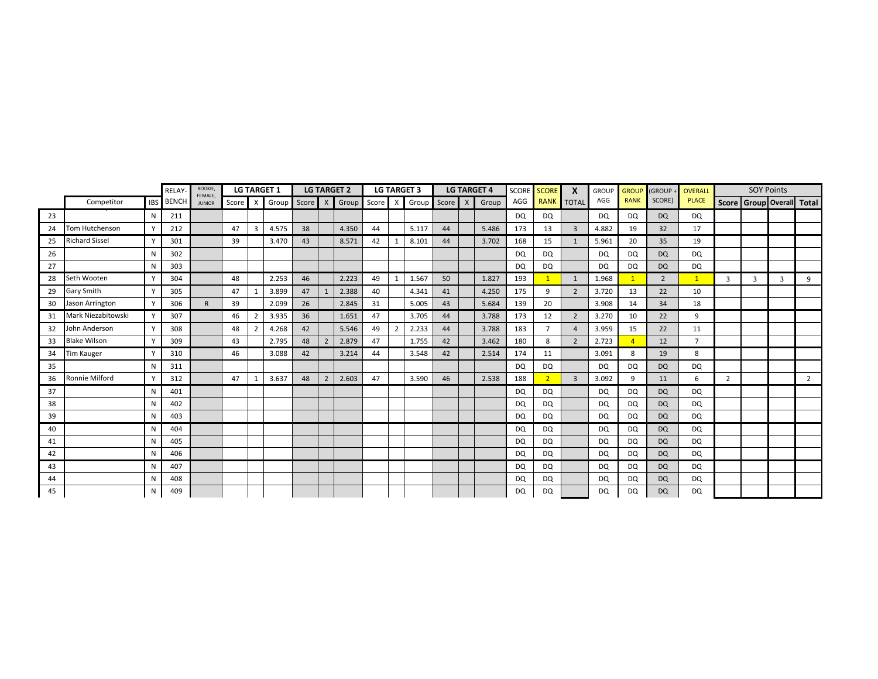|    |                       | RELAY      | ROOKIE,<br>FEMALE. |               |       | <b>LG TARGET 1</b> |       |         | <b>LG TARGET 2</b> |               |    | <b>LG TARGET 3</b> |               | <b>LG TARGET 4</b> |       | SCORE SCORE | $\mathbf{x}$   | <b>GROUP</b>   | <b>GROUP</b> | (GROUP      | OVERALL   |                | <b>SOY Points</b> |   |   |                           |
|----|-----------------------|------------|--------------------|---------------|-------|--------------------|-------|---------|--------------------|---------------|----|--------------------|---------------|--------------------|-------|-------------|----------------|----------------|--------------|-------------|-----------|----------------|-------------------|---|---|---------------------------|
|    | Competitor            | <b>IBS</b> | <b>BENCH</b>       | <b>JUNIOR</b> | Score | $\times$           | Group | Score X |                    | Group Score X |    |                    | Group Score X |                    | Group | AGG         |                | RANK TOTAL     | AGG          | <b>RANK</b> | SCORE)    | <b>PLACE</b>   |                   |   |   | Score Group Overall Total |
| 23 |                       | N          | 211                |               |       |                    |       |         |                    |               |    |                    |               |                    |       | <b>DQ</b>   | DQ             |                | <b>DQ</b>    | <b>DQ</b>   | DQ        | DQ             |                   |   |   |                           |
| 24 | Tom Hutchenson        |            | 212                |               | 47    | 3                  | 4.575 | 38      |                    | 4.350         | 44 |                    | 5.117         | 44                 | 5.486 | 173         | 13             | 3              | 4.882        | 19          | 32        | 17             |                   |   |   |                           |
| 25 | <b>Richard Sissel</b> | Y          | 301                |               | 39    |                    | 3.470 | 43      |                    | 8.571         | 42 |                    | 8.101         | 44                 | 3.702 | 168         | 15             | 1              | 5.961        | 20          | 35        | 19             |                   |   |   |                           |
| 26 |                       | N          | 302                |               |       |                    |       |         |                    |               |    |                    |               |                    |       | DQ          | DQ             |                | <b>DQ</b>    | DQ          | <b>DQ</b> | DQ             |                   |   |   |                           |
| 27 |                       | N          | 303                |               |       |                    |       |         |                    |               |    |                    |               |                    |       | <b>DQ</b>   | <b>DQ</b>      |                | DQ           | DQ          | <b>DQ</b> | <b>DQ</b>      |                   |   |   |                           |
| 28 | Seth Wooten           |            | 304                |               | 48    |                    | 2.253 | 46      |                    | 2.223         | 49 | 1                  | 1.567         | 50                 | 1.827 | 193         | $\mathbf{1}$   | $\mathbf{1}$   | 1.968        | 1           | 2         | $\mathbf{1}$   | 3                 | 3 | 3 | 9                         |
| 29 | Gary Smith            |            | 305                |               | 47    |                    | 3.899 | 47      |                    | 2.388         | 40 |                    | 4.341         | 41                 | 4.250 | 175         | 9              | $\overline{2}$ | 3.720        | 13          | 22        | 10             |                   |   |   |                           |
| 30 | Jason Arrington       |            | 306                | R.            | 39    |                    | 2.099 | 26      |                    | 2.845         | 31 |                    | 5.005         | 43                 | 5.684 | 139         | 20             |                | 3.908        | 14          | 34        | 18             |                   |   |   |                           |
| 31 | Mark Niezabitowski    |            | 307                |               | 46    | $\overline{2}$     | 3.935 | 36      |                    | 1.651         | 47 |                    | 3.705         | 44                 | 3.788 | 173         | 12             | $\overline{2}$ | 3.270        | 10          | 22        | 9              |                   |   |   |                           |
| 32 | John Anderson         | $\vee$     | 308                |               | 48    | $\overline{2}$     | 4.268 | 42      |                    | 5.546         | 49 | $\overline{2}$     | 2.233         | 44                 | 3.788 | 183         | $\overline{7}$ | $\overline{4}$ | 3.959        | 15          | 22        | 11             |                   |   |   |                           |
| 33 | <b>Blake Wilson</b>   | $\vee$     | 309                |               | 43    |                    | 2.795 | 48      | $\overline{2}$     | 2.879         | 47 |                    | 1.755         | 42                 | 3.462 | 180         | 8              | $\overline{2}$ | 2.723        |             | 12        | $\overline{7}$ |                   |   |   |                           |
| 34 | <b>Tim Kauger</b>     |            | 310                |               | 46    |                    | 3.088 | 42      |                    | 3.214         | 44 |                    | 3.548         | 42                 | 2.514 | 174         | 11             |                | 3.091        | 8           | 19        | 8              |                   |   |   |                           |
| 35 |                       | N          | 311                |               |       |                    |       |         |                    |               |    |                    |               |                    |       | <b>DQ</b>   | <b>DQ</b>      |                | <b>DQ</b>    | <b>DQ</b>   | <b>DQ</b> | <b>DQ</b>      |                   |   |   |                           |
| 36 | Ronnie Milford        | <b>V</b>   | 312                |               | 47    |                    | 3.637 | 48      | $\overline{2}$     | 2.603         | 47 |                    | 3.590         | 46                 | 2.538 | 188         | $\overline{2}$ | $\overline{3}$ | 3.092        | 9           | 11        | 6              | 2                 |   |   | $\overline{2}$            |
| 37 |                       | N          | 401                |               |       |                    |       |         |                    |               |    |                    |               |                    |       | DQ          | DQ             |                | <b>DQ</b>    | <b>DQ</b>   | <b>DQ</b> | <b>DQ</b>      |                   |   |   |                           |
| 38 |                       | N          | 402                |               |       |                    |       |         |                    |               |    |                    |               |                    |       | <b>DQ</b>   | DQ             |                | <b>DQ</b>    | DQ          | <b>DQ</b> | DQ             |                   |   |   |                           |
| 39 |                       | N          | 403                |               |       |                    |       |         |                    |               |    |                    |               |                    |       | <b>DQ</b>   | DQ             |                | <b>DQ</b>    | DQ          | <b>DQ</b> | <b>DQ</b>      |                   |   |   |                           |
| 40 |                       | N          | 404                |               |       |                    |       |         |                    |               |    |                    |               |                    |       | DQ          | DQ             |                | <b>DQ</b>    | DQ          | <b>DQ</b> | DQ             |                   |   |   |                           |
| 41 |                       | N          | 405                |               |       |                    |       |         |                    |               |    |                    |               |                    |       | <b>DQ</b>   | DQ             |                | <b>DQ</b>    | DQ          | <b>DQ</b> | DQ             |                   |   |   |                           |
| 42 |                       | N          | 406                |               |       |                    |       |         |                    |               |    |                    |               |                    |       | <b>DQ</b>   | DQ             |                | <b>DQ</b>    | DQ          | <b>DQ</b> | DQ             |                   |   |   |                           |
| 43 |                       | N          | 407                |               |       |                    |       |         |                    |               |    |                    |               |                    |       | DQ          | DQ             |                | <b>DQ</b>    | DQ          | <b>DQ</b> | DQ             |                   |   |   |                           |
| 44 |                       | N          | 408                |               |       |                    |       |         |                    |               |    |                    |               |                    |       | <b>DQ</b>   | DQ             |                | <b>DQ</b>    | DQ          | <b>DQ</b> | DQ             |                   |   |   |                           |
| 45 |                       | N          | 409                |               |       |                    |       |         |                    |               |    |                    |               |                    |       | <b>DQ</b>   | <b>DQ</b>      |                | <b>DQ</b>    | <b>DQ</b>   | <b>DQ</b> | <b>DQ</b>      |                   |   |   |                           |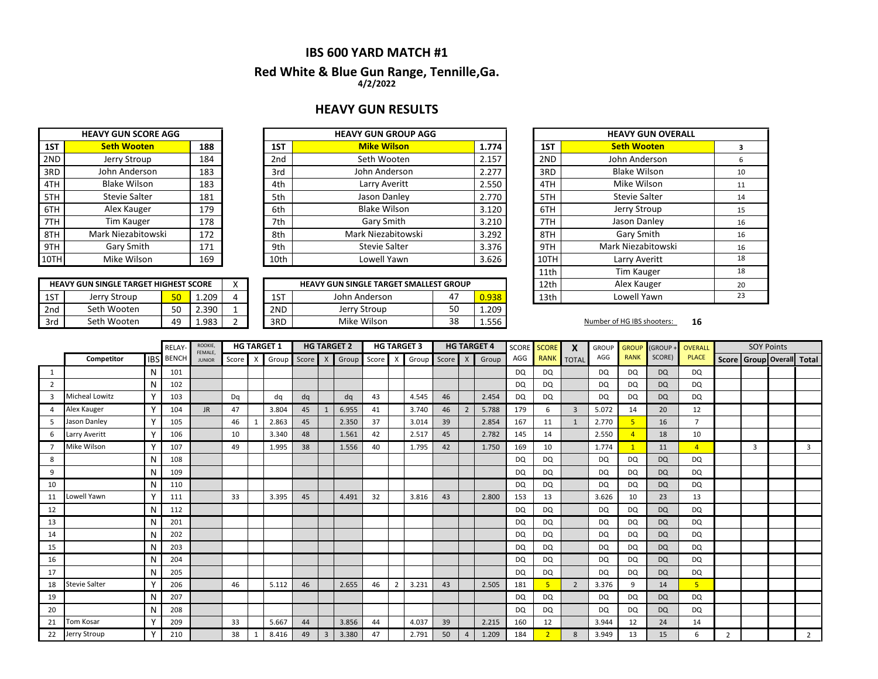#### **Red White & Blue Gun Range, Tennille,Ga. 4/2/2022**

#### **HEAVY GUN RESULTS**

|      | <b>HEAVY GUN SCORE AGG</b> |     |      | <b>HEAVY GUN GROUP AGG</b> |       |
|------|----------------------------|-----|------|----------------------------|-------|
| 1ST  | <b>Seth Wooten</b>         | 188 | 1ST  | <b>Mike Wilson</b>         | 1.774 |
| 2ND  | Jerry Stroup               | 184 | 2nd  | Seth Wooten                | 2.157 |
| 3RD  | John Anderson              | 183 | 3rd  | John Anderson              | 2.277 |
| 4TH  | <b>Blake Wilson</b>        | 183 | 4th  | Larry Averitt              | 2.550 |
| 5TH  | <b>Stevie Salter</b>       | 181 | 5th  | Jason Danley               | 2.770 |
| 6TH  | Alex Kauger                | 179 | 6th  | <b>Blake Wilson</b>        | 3.120 |
| 7TH  | Tim Kauger                 | 178 | 7th  | Gary Smith                 | 3.210 |
| 8TH  | Mark Niezabitowski         | 172 | 8th  | Mark Niezabitowski         | 3.292 |
| 9TH  | Gary Smith                 | 171 | 9th  | <b>Stevie Salter</b>       | 3.376 |
| 10TH | Mike Wilson                | 169 | 10th | Lowell Yawn                | 3.626 |

| 2ND  | Jerry Stroup         | 184 | 2 <sub>nd</sub> | Seth Wooten          | 2.157 | 2ND       |
|------|----------------------|-----|-----------------|----------------------|-------|-----------|
| 3RD  | John Anderson        | 183 | 3rd             | John Anderson        | 2.277 | 3RD       |
| 4TH  | <b>Blake Wilson</b>  | 183 | 4th             | Larry Averitt        | 2.550 | 4TH       |
| 5TH  | <b>Stevie Salter</b> | 181 | 5th             | Jason Danley         | 2.770 | 5TH       |
| 6TH  | Alex Kauger          | 179 | 6th             | <b>Blake Wilson</b>  | 3.120 | 6TH       |
| 7TH  | <b>Tim Kauger</b>    | 178 | 7th             | Gary Smith           | 3.210 | 7TH       |
| 8TH  | Mark Niezabitowski   | 172 | 8th             | Mark Niezabitowski   | 3.292 | 8TH       |
| 9TH  | Gary Smith           | 171 | 9th             | <b>Stevie Salter</b> | 3.376 | 9TH       |
| 10TH | Mike Wilson          | 169 | 10th            | Lowell Yawn          | 3.626 | 10TH      |
|      |                      |     |                 |                      |       | $4.4 + L$ |

|     | <b>HEAVY GUN SINGLE TARGET HIGHEST SCORE</b> |                 |       |  |     | <b>HEAVY GUN SINGLE TARGET SMALLEST GROUP</b> |    |       | 12th | Alex Kauger                |    |
|-----|----------------------------------------------|-----------------|-------|--|-----|-----------------------------------------------|----|-------|------|----------------------------|----|
| 1ST | Jerry Stroup                                 | 50 <sub>1</sub> | 1.209 |  | 1ST | John Anderson                                 | 47 | 0.938 | 13th | Lowell Yawn                |    |
| 2nd | Seth Wooten                                  | EO.             | 2.390 |  | 2ND | Jerry Stroup                                  | 50 | 1.209 |      |                            |    |
| 3rd | Seth Wooten                                  | 49              | 1.983 |  | 3RD | Mike Wilson                                   | 38 | 1.556 |      | Number of HG IBS shooters: | 16 |

| <b>HEAVY GUN GROUP AGG</b>      |    |       |      | <b>HEAVY GUN OVERALL</b> |    |
|---------------------------------|----|-------|------|--------------------------|----|
| <b>Mike Wilson</b>              |    | 1.774 | 1ST  | <b>Seth Wooten</b>       | 3  |
| Seth Wooten                     |    | 2.157 | 2ND  | John Anderson            | 6  |
| John Anderson                   |    | 2.277 | 3RD  | <b>Blake Wilson</b>      | 10 |
| Larry Averitt                   |    | 2.550 | 4TH  | Mike Wilson              | 11 |
| Jason Danley                    |    | 2.770 | 5TH  | <b>Stevie Salter</b>     | 14 |
| <b>Blake Wilson</b>             |    | 3.120 | 6TH  | Jerry Stroup             | 15 |
| Gary Smith                      |    | 3.210 | 7TH  | Jason Danley             | 16 |
| Mark Niezabitowski              |    | 3.292 | 8TH  | Gary Smith               | 16 |
| <b>Stevie Salter</b>            |    | 3.376 | 9TH  | Mark Niezabitowski       | 16 |
| Lowell Yawn                     |    | 3.626 | 10TH | Larry Averitt            | 18 |
|                                 |    |       | 11th | <b>Tim Kauger</b>        | 18 |
| UN SINGLE TARGET SMALLEST GROUP |    |       | 12th | Alex Kauger              | 20 |
| John Anderson                   | 47 | 0.938 | 13th | Lowell Yawn              | 23 |

|                |                      |              | <b>RELAY</b>     | ROOKIE,<br>FEMALE. |       |              | <b>HG TARGET 1</b> |    |   | <b>HG TARGET 2</b>    |    |                | <b>HG TARGET 3</b> |       |                | <b>HG TARGET 4</b> |           | SCORE SCORE    | X              | <b>GROUP</b> | <b>GROUP</b> | (GROUP +  | <b>OVERALL</b> |                                 | <b>SOY Points</b> |   |
|----------------|----------------------|--------------|------------------|--------------------|-------|--------------|--------------------|----|---|-----------------------|----|----------------|--------------------|-------|----------------|--------------------|-----------|----------------|----------------|--------------|--------------|-----------|----------------|---------------------------------|-------------------|---|
|                | Competitor           |              | <b>IBS</b> BENCH | <b>JUNIOR</b>      | Score | $\mathsf{X}$ | Group              |    |   | Score X Group Score X |    |                | Group              | Score | $\mathsf{X}$   | Group              | AGG       |                | RANK TOTAL     | AGG          | <b>RANK</b>  | SCORE)    | <b>PLACE</b>   | Score   Group   Overall   Total |                   |   |
| 1              |                      | N            | 101              |                    |       |              |                    |    |   |                       |    |                |                    |       |                |                    | DQ        | DQ             |                | DQ           | DQ           | <b>DQ</b> | DQ             |                                 |                   |   |
| 2              |                      | N            | 102              |                    |       |              |                    |    |   |                       |    |                |                    |       |                |                    | DQ        | DQ             |                | <b>DQ</b>    | <b>DQ</b>    | <b>DQ</b> | DQ             |                                 |                   |   |
| $\overline{3}$ | Micheal Lowitz       |              | 103              |                    | Dq    |              | dq                 | dq |   | dq                    | 43 |                | 4.545              | 46    |                | 2.454              | <b>DQ</b> | <b>DQ</b>      |                | <b>DQ</b>    | <b>DQ</b>    | <b>DQ</b> | <b>DQ</b>      |                                 |                   |   |
| 4              | Alex Kauger          |              | 104              | JR.                | 47    |              | 3.804              | 45 |   | 6.955                 | 41 |                | 3.740              | 46    | $\overline{2}$ | 5.788              | 179       | 6              | $\overline{3}$ | 5.072        | 14           | 20        | 12             |                                 |                   |   |
| 5              | Jason Danley         |              | 105              |                    | 46    |              | 2.863              | 45 |   | 2.350                 | 37 |                | 3.014              | 39    |                | 2.854              | 167       | 11             | 1              | 2.770        | 5            | 16        | $\overline{7}$ |                                 |                   |   |
| 6              | Larry Averitt        | $\checkmark$ | 106              |                    | 10    |              | 3.340              | 48 |   | 1.561                 | 42 |                | 2.517              | 45    |                | 2.782              | 145       | 14             |                | 2.550        |              | 18        | 10             |                                 |                   |   |
| $\overline{7}$ | Mike Wilson          |              | 107              |                    | 49    |              | 1.995              | 38 |   | 1.556                 | 40 |                | 1.795              | 42    |                | 1.750              | 169       | 10             |                | 1.774        |              | 11        | $\overline{4}$ |                                 | 3                 | 3 |
| 8              |                      | N            | 108              |                    |       |              |                    |    |   |                       |    |                |                    |       |                |                    | <b>DQ</b> | <b>DQ</b>      |                | DQ           | <b>DQ</b>    | <b>DQ</b> | DQ             |                                 |                   |   |
| 9              |                      | N            | 109              |                    |       |              |                    |    |   |                       |    |                |                    |       |                |                    | DQ        | DQ             |                | DQ           | DQ           | <b>DQ</b> | DQ             |                                 |                   |   |
| 10             |                      | N            | 110              |                    |       |              |                    |    |   |                       |    |                |                    |       |                |                    | <b>DQ</b> | DQ             |                | <b>DQ</b>    | DQ           | <b>DQ</b> | DQ             |                                 |                   |   |
| 11             | Lowell Yawn          | $\mathbf v$  | 111              |                    | 33    |              | 3.395              | 45 |   | 4.491                 | 32 |                | 3.816              | 43    |                | 2.800              | 153       | 13             |                | 3.626        | 10           | 23        | 13             |                                 |                   |   |
| 12             |                      | N            | 112              |                    |       |              |                    |    |   |                       |    |                |                    |       |                |                    | <b>DQ</b> | <b>DQ</b>      |                | <b>DQ</b>    | DQ           | <b>DQ</b> | <b>DQ</b>      |                                 |                   |   |
| 13             |                      |              | 201              |                    |       |              |                    |    |   |                       |    |                |                    |       |                |                    | DQ        | DQ             |                | <b>DQ</b>    | DQ           | <b>DQ</b> | DQ             |                                 |                   |   |
| 14             |                      | N            | 202              |                    |       |              |                    |    |   |                       |    |                |                    |       |                |                    | <b>DQ</b> | DQ             |                | <b>DQ</b>    | DQ           | <b>DQ</b> | <b>DQ</b>      |                                 |                   |   |
| 15             |                      | N            | 203              |                    |       |              |                    |    |   |                       |    |                |                    |       |                |                    | DQ        | DQ             |                | <b>DQ</b>    | DQ           | <b>DQ</b> | <b>DQ</b>      |                                 |                   |   |
| 16             |                      | N            | 204              |                    |       |              |                    |    |   |                       |    |                |                    |       |                |                    | <b>DQ</b> | DQ             |                | <b>DQ</b>    | DQ           | <b>DQ</b> | DQ             |                                 |                   |   |
| 17             |                      | N            | 205              |                    |       |              |                    |    |   |                       |    |                |                    |       |                |                    | <b>DQ</b> | DQ             |                | <b>DQ</b>    | <b>DQ</b>    | <b>DQ</b> | DQ             |                                 |                   |   |
| 18             | <b>Stevie Salter</b> |              | 206              |                    | 46    |              | 5.112              | 46 |   | 2.655                 | 46 | $\overline{2}$ | 3.231              | 43    |                | 2.505              | 181       | 5              | $\overline{2}$ | 3.376        | 9            | 14        | 5 <sup>1</sup> |                                 |                   |   |
| 19             |                      |              | 207              |                    |       |              |                    |    |   |                       |    |                |                    |       |                |                    | DQ        | DQ             |                | DQ           | DQ           | <b>DQ</b> | DQ             |                                 |                   |   |
| 20             |                      |              | 208              |                    |       |              |                    |    |   |                       |    |                |                    |       |                |                    | <b>DQ</b> | DQ             |                | <b>DQ</b>    | DQ           | <b>DQ</b> | DQ             |                                 |                   |   |
| 21             | <b>Tom Kosar</b>     |              | 209              |                    | 33    |              | 5.667              | 44 |   | 3.856                 | 44 |                | 4.037              | 39    |                | 2.215              | 160       | 12             |                | 3.944        | 12           | 24        | 14             |                                 |                   |   |
| 22             | Jerry Stroup         | $\checkmark$ | 210              |                    | 38    |              | 8.416              | 49 | 3 | 3.380                 | 47 |                | 2.791              | 50    | $\overline{4}$ | 1.209              | 184       | $\overline{2}$ | 8              | 3.949        | 13           | 15        | 6              | $\mathcal{P}$                   |                   | 2 |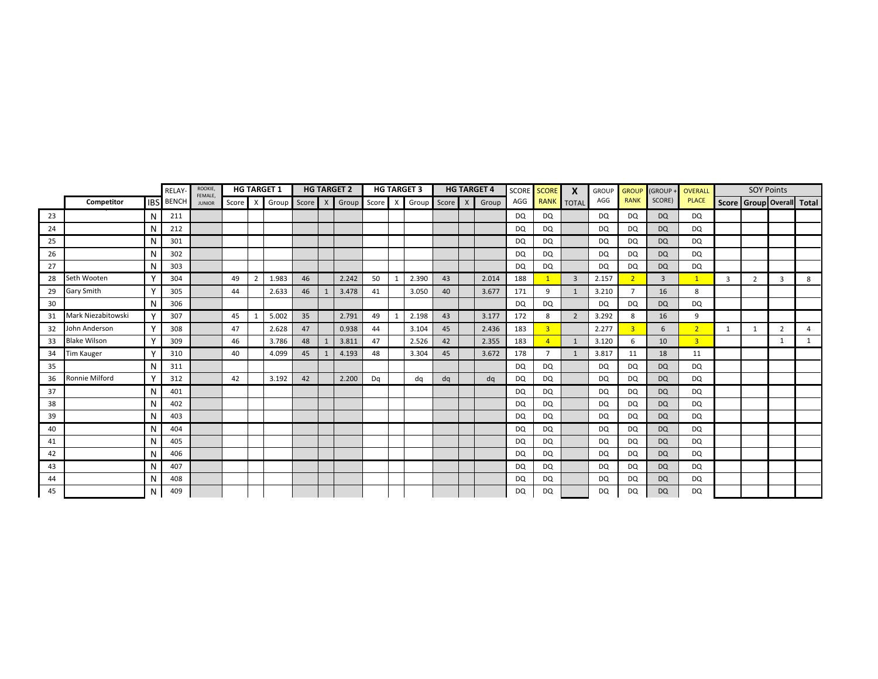|    |                     |              | RELAY        | ROOKIE,                  |       |                | <b>HG TARGET 1</b> |         |              | <b>HG TARGET 2</b>          |    |   | <b>HG TARGET 3</b> |    | <b>HG TARGET 4</b> | SCORE     | <b>SCORE</b>   | X              | <b>GROUP</b> | <b>GROUP</b>   | (GROUP+        | OVERALL        |              | <b>SOY Points</b> |                |                           |
|----|---------------------|--------------|--------------|--------------------------|-------|----------------|--------------------|---------|--------------|-----------------------------|----|---|--------------------|----|--------------------|-----------|----------------|----------------|--------------|----------------|----------------|----------------|--------------|-------------------|----------------|---------------------------|
|    | Competitor          | <b>IBS</b>   | <b>BENCH</b> | FEMALE,<br><b>JUNIOR</b> | Score | $\times$       | Group              | Score X |              | Group Score X Group Score X |    |   |                    |    | Group              | AGG       |                | RANK TOTAL     | AGG          | <b>RANK</b>    | SCORE)         | <b>PLACE</b>   |              |                   |                | Score Group Overall Total |
| 23 |                     | N            | 211          |                          |       |                |                    |         |              |                             |    |   |                    |    |                    | <b>DQ</b> | DQ             |                | DQ           | <b>DQ</b>      | <b>DQ</b>      | DQ             |              |                   |                |                           |
| 24 |                     | N            | 212          |                          |       |                |                    |         |              |                             |    |   |                    |    |                    | DQ        | DQ             |                | DQ           | DQ             | <b>DQ</b>      | DQ             |              |                   |                |                           |
| 25 |                     | N            | 301          |                          |       |                |                    |         |              |                             |    |   |                    |    |                    | DQ        | DQ             |                | DQ           | DQ             | <b>DQ</b>      | DQ             |              |                   |                |                           |
| 26 |                     | N            | 302          |                          |       |                |                    |         |              |                             |    |   |                    |    |                    | DQ        | DQ             |                | DQ           | DQ             | <b>DQ</b>      | DQ             |              |                   |                |                           |
| 27 |                     | N            | 303          |                          |       |                |                    |         |              |                             |    |   |                    |    |                    | DQ        | DQ             |                | DQ           | DQ             | <b>DQ</b>      | DQ             |              |                   |                |                           |
| 28 | Seth Wooten         | Y            | 304          |                          | 49    | $\overline{2}$ | 1.983              | 46      |              | 2.242                       | 50 |   | 2.390              | 43 | 2.014              | 188       | $\mathbf{1}$   | $\overline{3}$ | 2.157        | 2 <sup>1</sup> | $\overline{3}$ | $\mathbf{1}$   | 3            | $\overline{2}$    | 3              | 8                         |
| 29 | <b>Gary Smith</b>   |              | 305          |                          | 44    |                | 2.633              | 46      | 1            | 3.478                       | 41 |   | 3.050              | 40 | 3.677              | 171       | 9              | 1              | 3.210        | $\overline{7}$ | 16             | 8              |              |                   |                |                           |
| 30 |                     | N            | 306          |                          |       |                |                    |         |              |                             |    |   |                    |    |                    | DQ        | <b>DQ</b>      |                | DQ           | DQ             | <b>DQ</b>      | <b>DQ</b>      |              |                   |                |                           |
| 31 | Mark Niezabitowski  |              | 307          |                          | 45    | 1              | 5.002              | 35      |              | 2.791                       | 49 | 1 | 2.198              | 43 | 3.177              | 172       | 8              | $\overline{2}$ | 3.292        | 8              | 16             | 9              |              |                   |                |                           |
| 32 | John Anderson       | Y            | 308          |                          | 47    |                | 2.628              | 47      |              | 0.938                       | 44 |   | 3.104              | 45 | 2.436              | 183       | $\overline{3}$ |                | 2.277        | $\overline{3}$ | 6              | 2 <sup>2</sup> | $\mathbf{1}$ | $\mathbf{1}$      | $\overline{2}$ | $\overline{a}$            |
| 33 | <b>Blake Wilson</b> | $\mathsf{v}$ | 309          |                          | 46    |                | 3.786              | 48      | $\mathbf{1}$ | 3.811                       | 47 |   | 2.526              | 42 | 2.355              | 183       | $\overline{A}$ | 1              | 3.120        | 6              | 10             | $\overline{3}$ |              |                   | 1              | $\mathbf{1}$              |
| 34 | Tim Kauger          | N            | 310          |                          | 40    |                | 4.099              | 45      | 1            | 4.193                       | 48 |   | 3.304              | 45 | 3.672              | 178       | $\overline{7}$ | 1              | 3.817        | 11             | 18             | 11             |              |                   |                |                           |
| 35 |                     | N            | 311          |                          |       |                |                    |         |              |                             |    |   |                    |    |                    | <b>DQ</b> | DQ             |                | DQ           | <b>DQ</b>      | <b>DQ</b>      | <b>DQ</b>      |              |                   |                |                           |
| 36 | Ronnie Milford      | Y            | 312          |                          | 42    |                | 3.192              | 42      |              | 2.200                       | Dq |   | dq                 | dq | dq                 | DQ        | DQ             |                | DQ           | DQ             | <b>DQ</b>      | DQ             |              |                   |                |                           |
| 37 |                     | N            | 401          |                          |       |                |                    |         |              |                             |    |   |                    |    |                    | <b>DQ</b> | DQ             |                | DQ           | <b>DQ</b>      | <b>DQ</b>      | DQ             |              |                   |                |                           |
| 38 |                     | N            | 402          |                          |       |                |                    |         |              |                             |    |   |                    |    |                    | <b>DQ</b> | DQ             |                | DQ           | DQ             | <b>DQ</b>      | DQ             |              |                   |                |                           |
| 39 |                     | N            | 403          |                          |       |                |                    |         |              |                             |    |   |                    |    |                    | DQ        | DQ             |                | DQ           | DQ             | <b>DQ</b>      | <b>DQ</b>      |              |                   |                |                           |
| 40 |                     | N            | 404          |                          |       |                |                    |         |              |                             |    |   |                    |    |                    | DQ        | DQ             |                | DQ           | DQ             | DQ             | DQ             |              |                   |                |                           |
| 41 |                     | N            | 405          |                          |       |                |                    |         |              |                             |    |   |                    |    |                    | <b>DQ</b> | DQ             |                | DQ           | DQ             | <b>DQ</b>      | DQ             |              |                   |                |                           |
| 42 |                     | N            | 406          |                          |       |                |                    |         |              |                             |    |   |                    |    |                    | DQ        | DQ             |                | DQ           | DQ             | <b>DQ</b>      | DQ             |              |                   |                |                           |
| 43 |                     | N            | 407          |                          |       |                |                    |         |              |                             |    |   |                    |    |                    | <b>DQ</b> | DQ             |                | DQ           | DQ             | <b>DQ</b>      | DQ             |              |                   |                |                           |
| 44 |                     | N            | 408          |                          |       |                |                    |         |              |                             |    |   |                    |    |                    | <b>DQ</b> | DQ             |                | DQ           | DQ             | <b>DQ</b>      | DQ             |              |                   |                |                           |
| 45 |                     | N            | 409          |                          |       |                |                    |         |              |                             |    |   |                    |    |                    | <b>DQ</b> | DQ             |                | <b>DQ</b>    | <b>DQ</b>      | <b>DQ</b>      | <b>DQ</b>      |              |                   |                |                           |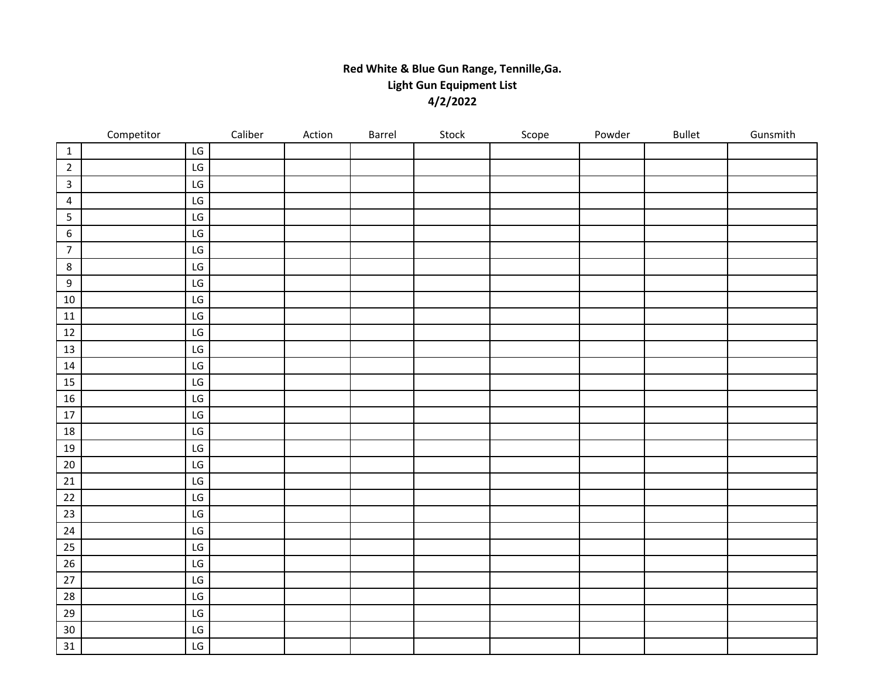## **Red White & Blue Gun Range, Tennille,Ga. Light Gun Equipment List 4/2/2022**

|                  | Competitor | Caliber                      | Action | Barrel | Stock | Scope | Powder | Bullet | Gunsmith |
|------------------|------------|------------------------------|--------|--------|-------|-------|--------|--------|----------|
| $\mathbf{1}$     |            | LG                           |        |        |       |       |        |        |          |
| $\overline{2}$   |            | $\mathsf{LG}$                |        |        |       |       |        |        |          |
| $\overline{3}$   |            | ${\sf LG}$                   |        |        |       |       |        |        |          |
| $\overline{4}$   |            | LG                           |        |        |       |       |        |        |          |
| 5                |            | LG                           |        |        |       |       |        |        |          |
| $\boldsymbol{6}$ |            | $\mathsf{LG}$                |        |        |       |       |        |        |          |
| $\overline{7}$   |            | $\mathsf{LG}$                |        |        |       |       |        |        |          |
| $\,$ 8 $\,$      |            | LG                           |        |        |       |       |        |        |          |
| 9                |            | $\mathsf{LG}$                |        |        |       |       |        |        |          |
| $10\,$           |            | $\mathsf{LG}$                |        |        |       |       |        |        |          |
| $11\,$           |            | LG                           |        |        |       |       |        |        |          |
| 12               |            | LG                           |        |        |       |       |        |        |          |
| $13\,$           |            | $\mathsf{LG}$                |        |        |       |       |        |        |          |
| 14               |            | LG                           |        |        |       |       |        |        |          |
| 15               |            | LG                           |        |        |       |       |        |        |          |
| 16               |            | $\mathsf{LG}$                |        |        |       |       |        |        |          |
| $17\,$           |            | LG                           |        |        |       |       |        |        |          |
| 18               |            | LG                           |        |        |       |       |        |        |          |
| 19               |            | $\mathsf{LG}$                |        |        |       |       |        |        |          |
| $20\,$           |            | $\mathsf{LG}\hspace{0.01in}$ |        |        |       |       |        |        |          |
| $21\,$           |            | LG                           |        |        |       |       |        |        |          |
| $22\,$           |            | $\mathsf{LG}$                |        |        |       |       |        |        |          |
| 23               |            | ${\sf LG}$                   |        |        |       |       |        |        |          |
| 24               |            | $\mathsf{LG}$                |        |        |       |       |        |        |          |
| 25               |            | ${\sf LG}$                   |        |        |       |       |        |        |          |
| $26\,$           |            | $\mathsf{LG}$                |        |        |       |       |        |        |          |
| $27$             |            | ${\sf LG}$                   |        |        |       |       |        |        |          |
| 28               |            | LG                           |        |        |       |       |        |        |          |
| 29               |            | LG                           |        |        |       |       |        |        |          |
| 30               |            | $\mathsf{LG}$                |        |        |       |       |        |        |          |
| 31               |            | LG                           |        |        |       |       |        |        |          |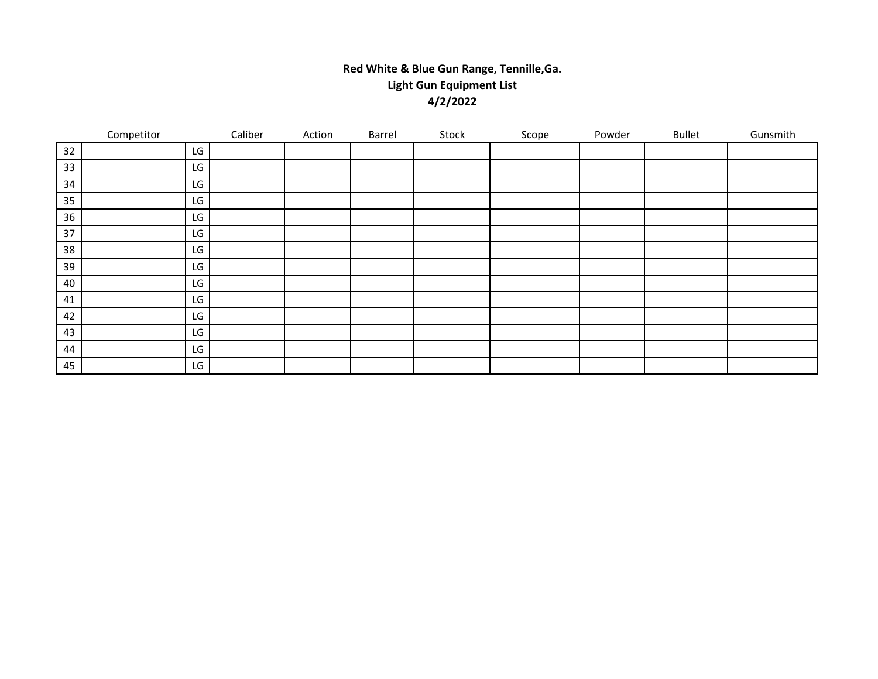## **Red White & Blue Gun Range, Tennille,Ga. Light Gun Equipment List 4/2/2022**

|    | Competitor |    | Caliber | Action | Barrel | Stock | Scope | Powder | <b>Bullet</b> | Gunsmith |
|----|------------|----|---------|--------|--------|-------|-------|--------|---------------|----------|
| 32 |            | LG |         |        |        |       |       |        |               |          |
| 33 |            | LG |         |        |        |       |       |        |               |          |
| 34 |            | LG |         |        |        |       |       |        |               |          |
| 35 |            | LG |         |        |        |       |       |        |               |          |
| 36 |            | LG |         |        |        |       |       |        |               |          |
| 37 |            | LG |         |        |        |       |       |        |               |          |
| 38 |            | LG |         |        |        |       |       |        |               |          |
| 39 |            | LG |         |        |        |       |       |        |               |          |
| 40 |            | LG |         |        |        |       |       |        |               |          |
| 41 |            | LG |         |        |        |       |       |        |               |          |
| 42 |            | LG |         |        |        |       |       |        |               |          |
| 43 |            | LG |         |        |        |       |       |        |               |          |
| 44 |            | LG |         |        |        |       |       |        |               |          |
| 45 |            | LG |         |        |        |       |       |        |               |          |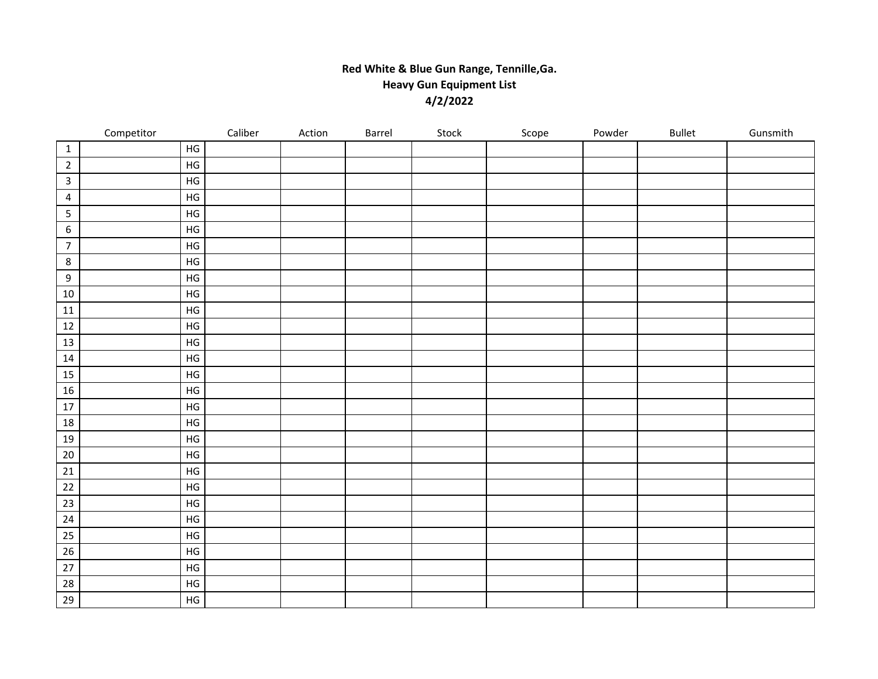## **Red White & Blue Gun Range, Tennille,Ga. Heavy Gun Equipment List 4/2/2022**

|                  | Competitor |               | Caliber | Action | Barrel | Stock | Scope | Powder | <b>Bullet</b> | Gunsmith |
|------------------|------------|---------------|---------|--------|--------|-------|-------|--------|---------------|----------|
| $\mathbf{1}$     |            | $\mathsf{HG}$ |         |        |        |       |       |        |               |          |
| $\overline{2}$   |            | $\mathsf{HG}$ |         |        |        |       |       |        |               |          |
| $\mathbf{3}$     |            | $\mathsf{HG}$ |         |        |        |       |       |        |               |          |
| $\overline{4}$   |            | $\mathsf{HG}$ |         |        |        |       |       |        |               |          |
| $5\phantom{.}$   |            | $\mathsf{HG}$ |         |        |        |       |       |        |               |          |
| $\boldsymbol{6}$ |            | $\mathsf{HG}$ |         |        |        |       |       |        |               |          |
| $\overline{7}$   |            | $\mathsf{HG}$ |         |        |        |       |       |        |               |          |
| 8                |            | $\mathsf{HG}$ |         |        |        |       |       |        |               |          |
| 9                |            | $\mathsf{HG}$ |         |        |        |       |       |        |               |          |
| $10\,$           |            | $\mathsf{HG}$ |         |        |        |       |       |        |               |          |
| 11               |            | $\mathsf{HG}$ |         |        |        |       |       |        |               |          |
| $12\,$           |            | $\mathsf{HG}$ |         |        |        |       |       |        |               |          |
| 13               |            | $\mathsf{HG}$ |         |        |        |       |       |        |               |          |
| 14               |            | HG            |         |        |        |       |       |        |               |          |
| 15               |            | HG            |         |        |        |       |       |        |               |          |
| 16               |            | $\mathsf{HG}$ |         |        |        |       |       |        |               |          |
| 17               |            | HG            |         |        |        |       |       |        |               |          |
| 18               |            | $\mathsf{HG}$ |         |        |        |       |       |        |               |          |
| 19               |            | HG            |         |        |        |       |       |        |               |          |
| $20\,$           |            | $\mathsf{HG}$ |         |        |        |       |       |        |               |          |
| $21\,$           |            | HG            |         |        |        |       |       |        |               |          |
| $22\,$           |            | $\mathsf{HG}$ |         |        |        |       |       |        |               |          |
| 23               |            | $\mathsf{HG}$ |         |        |        |       |       |        |               |          |
| 24               |            | $\mathsf{HG}$ |         |        |        |       |       |        |               |          |
| 25               |            | $\mathsf{HG}$ |         |        |        |       |       |        |               |          |
| 26               |            | $\mathsf{HG}$ |         |        |        |       |       |        |               |          |
| $27$             |            | $\mathsf{HG}$ |         |        |        |       |       |        |               |          |
| 28               |            | $\mathsf{HG}$ |         |        |        |       |       |        |               |          |
| 29               |            | $\mathsf{HG}$ |         |        |        |       |       |        |               |          |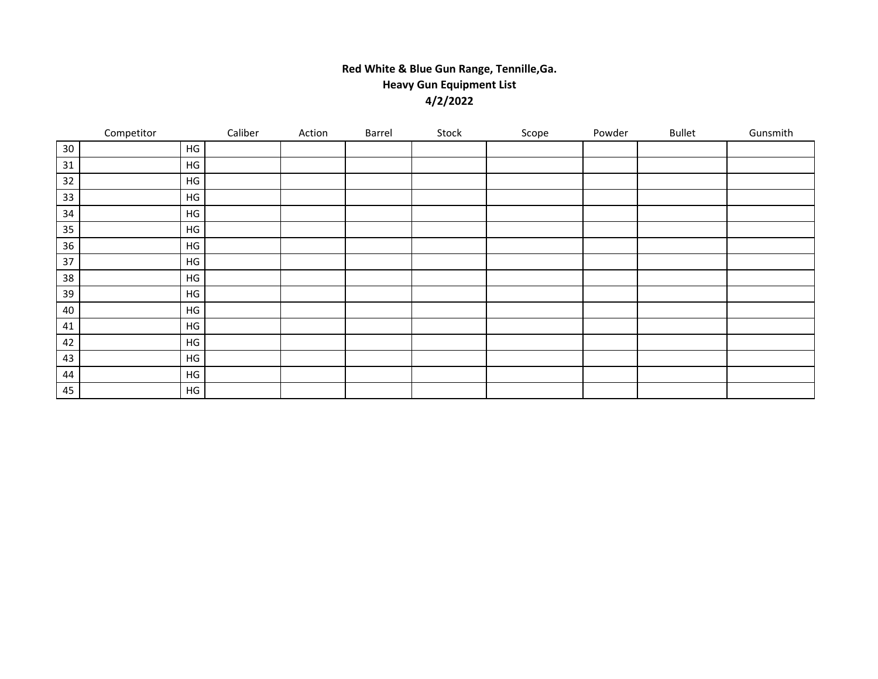## **Red White & Blue Gun Range, Tennille,Ga. Heavy Gun Equipment List 4/2/2022**

|    | Competitor    | Caliber | Action | Barrel | Stock | Scope | Powder | <b>Bullet</b> | Gunsmith |
|----|---------------|---------|--------|--------|-------|-------|--------|---------------|----------|
| 30 | HG            |         |        |        |       |       |        |               |          |
| 31 | HG            |         |        |        |       |       |        |               |          |
| 32 | HG            |         |        |        |       |       |        |               |          |
| 33 | HG            |         |        |        |       |       |        |               |          |
| 34 | HG            |         |        |        |       |       |        |               |          |
| 35 | $\mathsf{HG}$ |         |        |        |       |       |        |               |          |
| 36 | HG            |         |        |        |       |       |        |               |          |
| 37 | $\mathsf{HG}$ |         |        |        |       |       |        |               |          |
| 38 | HG            |         |        |        |       |       |        |               |          |
| 39 | HG            |         |        |        |       |       |        |               |          |
| 40 | HG            |         |        |        |       |       |        |               |          |
| 41 | $\mathsf{HG}$ |         |        |        |       |       |        |               |          |
| 42 | $\mathsf{HG}$ |         |        |        |       |       |        |               |          |
| 43 | HG            |         |        |        |       |       |        |               |          |
| 44 | HG            |         |        |        |       |       |        |               |          |
| 45 | HG            |         |        |        |       |       |        |               |          |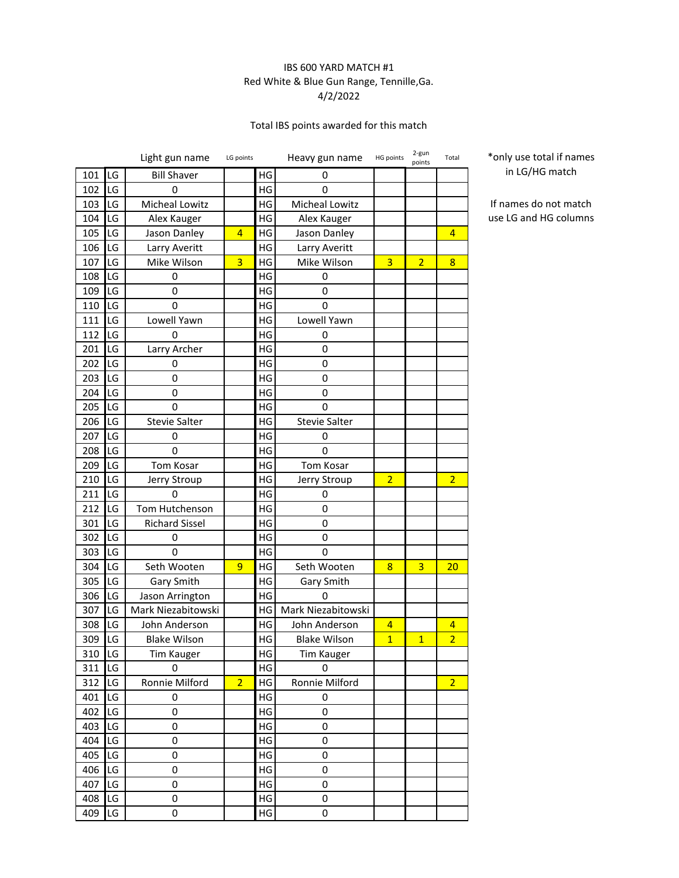### IBS 600 YARD MATCH #1 Red White & Blue Gun Range, Tennille,Ga. 4/2/2022

## Total IBS points awarded for this match

|     |    | Light gun name        | LG points      |               | Heavy gun name       | HG points      | 2-gun<br>points | Total          |
|-----|----|-----------------------|----------------|---------------|----------------------|----------------|-----------------|----------------|
| 101 | LG | <b>Bill Shaver</b>    |                | HG            | 0                    |                |                 |                |
| 102 | LG | 0                     |                | HG            | 0                    |                |                 |                |
| 103 | LG | Micheal Lowitz        |                | HG            | Micheal Lowitz       |                |                 |                |
| 104 | LG | Alex Kauger           |                | HG            | Alex Kauger          |                |                 |                |
| 105 | LG | Jason Danley          | 4              | HG            | Jason Danley         |                |                 | 4              |
| 106 | LG | Larry Averitt         |                | HG            | Larry Averitt        |                |                 |                |
| 107 | LG | Mike Wilson           | 3              | HG            | Mike Wilson          | 3              | $\overline{2}$  | 8              |
| 108 | LG | 0                     |                | HG            | 0                    |                |                 |                |
| 109 | LG | 0                     |                | HG            | 0                    |                |                 |                |
| 110 | LG | 0                     |                | HG            | 0                    |                |                 |                |
| 111 | LG | Lowell Yawn           |                | HG            | Lowell Yawn          |                |                 |                |
| 112 | LG | 0                     |                | HG            | 0                    |                |                 |                |
| 201 | LG | Larry Archer          |                | HG            | 0                    |                |                 |                |
| 202 | LG | 0                     |                | HG            | 0                    |                |                 |                |
| 203 | LG | 0                     |                | HG            | 0                    |                |                 |                |
| 204 | LG | 0                     |                | HG            | 0                    |                |                 |                |
| 205 | LG | 0                     |                | HG            | 0                    |                |                 |                |
| 206 | LG | <b>Stevie Salter</b>  |                | HG            | <b>Stevie Salter</b> |                |                 |                |
| 207 | LG | 0                     |                | HG            | 0                    |                |                 |                |
| 208 | LG | 0                     |                | HG            | 0                    |                |                 |                |
| 209 | LG | <b>Tom Kosar</b>      |                | HG            | Tom Kosar            |                |                 |                |
| 210 | LG | Jerry Stroup          |                | HG            | Jerry Stroup         | $\overline{2}$ |                 | $\overline{2}$ |
| 211 | LG | 0                     |                | HG            | 0                    |                |                 |                |
| 212 | LG | Tom Hutchenson        |                | HG            | 0                    |                |                 |                |
| 301 | LG | <b>Richard Sissel</b> |                | HG            | 0                    |                |                 |                |
| 302 | LG | 0                     |                | HG            | 0                    |                |                 |                |
| 303 | LG | 0                     |                | HG            | 0                    |                |                 |                |
| 304 | LG | Seth Wooten           | 9              | HG            | Seth Wooten          | 8              | 3               | 20             |
| 305 | LG | Gary Smith            |                | HG            | Gary Smith           |                |                 |                |
| 306 | LG | Jason Arrington       |                | HG            | 0                    |                |                 |                |
| 307 | LG | Mark Niezabitowski    |                | HG            | Mark Niezabitowski   |                |                 |                |
| 308 | LG | John Anderson         |                | HG            | John Anderson        | 4              |                 | 4              |
| 309 | LG | <b>Blake Wilson</b>   |                | HG            | <b>Blake Wilson</b>  | $\overline{1}$ | $\overline{1}$  | $\overline{2}$ |
| 310 | LG | Tim Kauger            |                | $\mathsf{HG}$ | Tim Kauger           |                |                 |                |
| 311 | LG | 0                     |                | HG            | 0                    |                |                 |                |
| 312 | LG | Ronnie Milford        | $\overline{2}$ | HG            | Ronnie Milford       |                |                 | $\overline{2}$ |
| 401 | LG | 0                     |                | HG            | 0                    |                |                 |                |
| 402 | LG | 0                     |                | HG            | 0                    |                |                 |                |
| 403 | LG | 0                     |                | HG            | 0                    |                |                 |                |
| 404 | LG | 0                     |                | HG            | 0                    |                |                 |                |
| 405 | LG | 0                     |                | HG            | $\mathsf 0$          |                |                 |                |
| 406 | LG | 0                     |                | HG            | 0                    |                |                 |                |
| 407 | LG | 0                     |                | HG            | 0                    |                |                 |                |
| 408 | LG | 0                     |                | HG            | 0                    |                |                 |                |
| 409 | LG | 0                     |                | HG            | 0                    |                |                 |                |

\*only use total if names in LG/HG match

If names do not match use LG and HG columns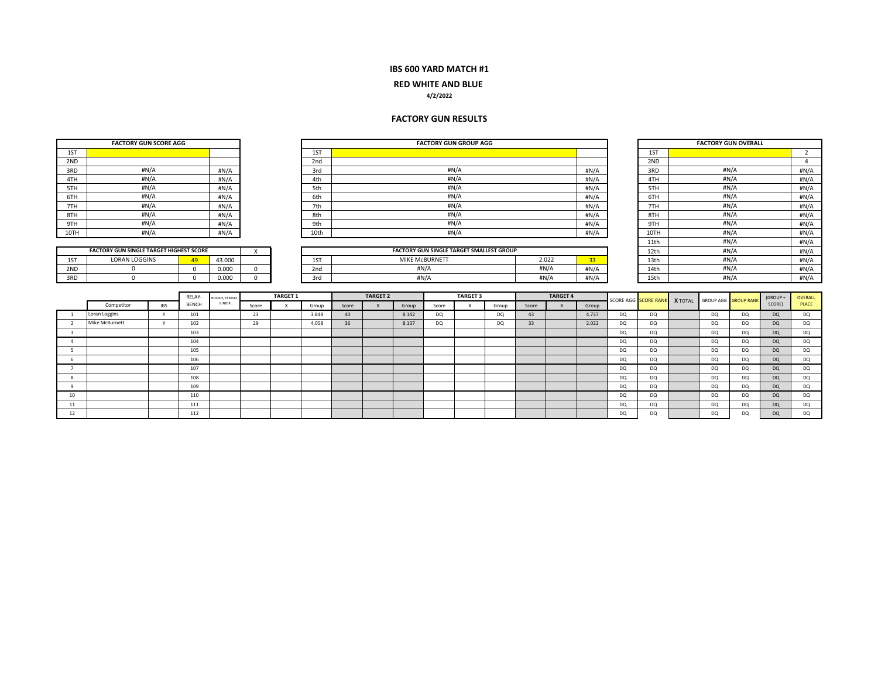### **RED WHITE AND BLUE**

#### **4/2/2022**

#### **FACTORY GUN RESULTS**

|                         | <b>FACTORY GUN SCORE AGG</b>                   |             |              |                |          |                 |       |       |                        |                                                 | <b>FACTORY GUN GROUP AGG</b> |                 |           |       |                 |                 |           |                             |                |                  | <b>FACTORY GUN OVERALL</b> |           |                |
|-------------------------|------------------------------------------------|-------------|--------------|----------------|----------|-----------------|-------|-------|------------------------|-------------------------------------------------|------------------------------|-----------------|-----------|-------|-----------------|-----------------|-----------|-----------------------------|----------------|------------------|----------------------------|-----------|----------------|
| 1ST                     |                                                |             |              |                |          |                 | 1ST   |       |                        |                                                 |                              |                 |           |       |                 |                 |           | 1ST                         |                |                  |                            |           | 2              |
| 2ND                     |                                                |             |              |                |          |                 | 2nd   |       |                        |                                                 |                              |                 |           |       |                 |                 |           | 2ND                         |                |                  |                            |           | $\overline{4}$ |
| 3RD                     |                                                | #N/A        |              | #N/A           |          |                 | 3rd   |       |                        |                                                 |                              | #N/A            |           |       |                 | #N/A            |           | 3RD                         |                |                  | H N/A                      |           | #N/A           |
| 4TH                     |                                                | H N/A       |              | #N/A           |          |                 | 4th   |       |                        |                                                 |                              | H N/A           |           |       |                 | #N/A            |           | 4TH                         |                |                  | #N/A                       |           | #N/A           |
| 5TH                     |                                                | H N/A       |              | #N/A           |          |                 | 5th   |       |                        |                                                 |                              | #N/A            |           |       |                 | #N/A            |           | 5TH                         |                |                  | #N/A                       |           | #N/A           |
| 6TH                     |                                                | #N/A        |              | #N/A           |          |                 | 6th   |       |                        |                                                 |                              | #N/A            |           |       |                 | #N/A            |           | 6TH                         |                |                  | #N/A                       |           | #N/A           |
| 7TH                     |                                                | H N/A       |              | #N/A           |          |                 | 7th   |       |                        |                                                 |                              | H N/A           |           |       |                 | #N/A            |           | 7TH                         |                |                  | #N/A                       |           | #N/A           |
| 8TH                     |                                                | #N/A        |              | #N/A           |          |                 | 8th   |       |                        |                                                 |                              | #N/A            |           |       |                 | #N/A            |           | 8TH                         |                |                  | #N/A                       |           | #N/A           |
| 9TH                     |                                                | H N/A       |              | #N/A           |          |                 | 9th   |       |                        |                                                 |                              | H N/A           |           |       |                 | #N/A            |           | 9TH                         |                |                  | #N/A                       |           | #N/A           |
| 10TH                    |                                                | #N/A        |              | #N/A           |          |                 | 10th  |       |                        |                                                 |                              | #N/A            |           |       |                 | #N/A            |           | 10TH                        |                |                  | #N/A                       |           | #N/A           |
|                         |                                                |             |              |                |          |                 |       |       |                        |                                                 |                              |                 |           |       |                 |                 |           | 11th                        |                |                  | #N/A                       |           | #N/A           |
|                         | <b>FACTORY GUN SINGLE TARGET HIGHEST SCORE</b> |             |              |                | X        |                 |       |       |                        | <b>FACTORY GUN SINGLE TARGET SMALLEST GROUP</b> |                              |                 |           |       |                 |                 |           | 12th                        |                |                  | #N/A                       |           | #N/A           |
| 1ST                     | <b>LORAN LOGGINS</b>                           |             | 49           | 43.000         |          |                 | 1ST   |       | MIKE McBURNETT<br>#N/A |                                                 |                              |                 |           |       | 2.022           | 33 <sup>°</sup> |           | 13th                        |                |                  | #N/A                       |           | #N/A           |
| 2ND                     | $^{\circ}$                                     |             | $\Omega$     | 0.000          | $\Omega$ |                 | 2nd   |       | #N/A                   |                                                 |                              |                 |           |       | #N/A            | #N/A            |           | 14th                        |                |                  | #N/A                       |           | #N/A           |
| 3RD                     | $\Omega$                                       |             | $\Omega$     | 0.000          | $\Omega$ |                 | 3rd   |       |                        |                                                 |                              |                 |           |       | #N/A            | #N/A            |           | 15th                        |                |                  | #N/A                       |           | #N/A           |
|                         |                                                |             |              |                |          |                 |       |       |                        |                                                 |                              |                 |           |       |                 |                 |           |                             |                |                  |                            |           |                |
|                         |                                                |             | RELAY-       | ROOKIE, FEMALE |          | <b>TARGET 1</b> |       |       | <b>TARGET 2</b>        |                                                 |                              | <b>TARGET 3</b> |           |       | <b>TARGET 4</b> |                 |           | <b>SCORE AGG SCORE RANK</b> | <b>X</b> TOTAL | <b>GROUP AGG</b> | <b>GROUP RANK</b>          | (GROUP+   | OVERALL        |
|                         | Competitor                                     | <b>IBS</b>  | <b>BENCH</b> | <b>JUNIOR</b>  | Score    | $\mathbf{x}$    | Group | Score | $\mathbf{x}$           | Group                                           | Score                        | $\mathsf{x}$    | Group     | Score | $\mathsf{X}$    | Group           |           |                             |                |                  |                            | SCORE)    | PLACE          |
|                         | Loran Loggins                                  | Y           | 101          |                | 23       |                 | 3.849 | 40    |                        | 8.142                                           | <b>DQ</b>                    |                 | <b>DQ</b> | 43    |                 | 4.737           | <b>DQ</b> | <b>DQ</b>                   |                | <b>DQ</b>        | <b>DQ</b>                  | <b>DQ</b> | DQ             |
|                         | Mike McBurnett                                 | $\mathbf v$ | 102          |                | 29       |                 | 4.058 | 36    |                        | 8.137                                           | <b>DQ</b>                    |                 | <b>DQ</b> | 33    |                 | 2.022           | <b>DQ</b> | <b>DQ</b>                   |                | <b>DQ</b>        | <b>DQ</b>                  | <b>DQ</b> | DQ             |
| $\overline{\mathbf{z}}$ |                                                |             | 103          |                |          |                 |       |       |                        |                                                 |                              |                 |           |       |                 |                 | <b>DQ</b> | <b>DQ</b>                   |                | <b>DQ</b>        | <b>DQ</b>                  | <b>DQ</b> | DQ             |
|                         |                                                |             | 104          |                |          |                 |       |       |                        |                                                 |                              |                 |           |       |                 |                 | <b>DQ</b> | <b>DQ</b>                   |                | <b>DQ</b>        | <b>DQ</b>                  | <b>DQ</b> | DQ             |
|                         |                                                |             | 105          |                |          |                 |       |       |                        |                                                 |                              |                 |           |       |                 |                 | DQ        | DQ                          |                | <b>DQ</b>        | <b>DQ</b>                  | <b>DQ</b> | <b>DQ</b>      |
|                         |                                                |             | 106          |                |          |                 |       |       |                        |                                                 |                              |                 |           |       |                 |                 | <b>DQ</b> | <b>DQ</b>                   |                | <b>DQ</b>        | <b>DQ</b>                  | <b>DQ</b> | DQ             |
|                         |                                                |             | 107          |                |          |                 |       |       |                        |                                                 |                              |                 |           |       |                 |                 | <b>DQ</b> | <b>DQ</b>                   |                | <b>DQ</b>        | <b>DQ</b>                  | <b>DQ</b> | DQ             |
|                         |                                                |             | 108          |                |          |                 |       |       |                        |                                                 |                              |                 |           |       |                 |                 | <b>DQ</b> | <b>DQ</b>                   |                | <b>DQ</b>        | <b>DQ</b>                  | DQ        | DQ             |
| $\alpha$                |                                                |             | 109          |                |          |                 |       |       |                        |                                                 |                              |                 |           |       |                 |                 | DQ        | DQ                          |                | <b>DQ</b>        | <b>DQ</b>                  | <b>DQ</b> | DQ             |
| 10                      |                                                |             | 110          |                |          |                 |       |       |                        |                                                 |                              |                 |           |       |                 |                 | <b>DQ</b> | <b>DQ</b>                   |                | <b>DQ</b>        | <b>DQ</b>                  | <b>DQ</b> | <b>DQ</b>      |
| 11                      |                                                |             | 111          |                |          |                 |       |       |                        |                                                 |                              |                 |           |       |                 |                 | <b>DQ</b> | <b>DQ</b>                   |                | <b>DQ</b>        | <b>DQ</b>                  | <b>DQ</b> | DQ             |
| 12                      |                                                |             | 112          |                |          |                 |       |       |                        |                                                 |                              |                 |           |       |                 |                 | <b>DQ</b> | <b>DQ</b>                   |                | <b>DQ</b>        | <b>DQ</b>                  | <b>DQ</b> | DQ             |